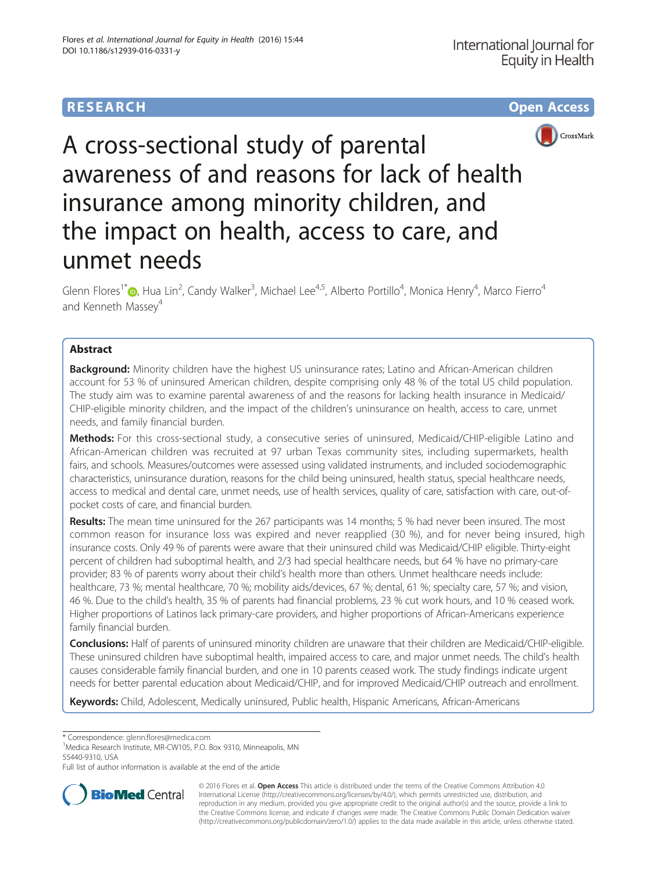

A cross-sectional study of parental awareness of and reasons for lack of health insurance among minority children, and the impact on health, access to care, and unmet needs

Glenn Flores<sup>1\*</sup>�[,](http://orcid.org/0000-0001-8117-945X) Hua Lin<sup>2</sup>, Candy Walker<sup>3</sup>, Michael Lee<sup>4,5</sup>, Alberto Portillo<sup>4</sup>, Monica Henry<sup>4</sup>, Marco Fierro<sup>4</sup> and Kenneth Massey<sup>4</sup>

# Abstract

**Background:** Minority children have the highest US uninsurance rates; Latino and African-American children account for 53 % of uninsured American children, despite comprising only 48 % of the total US child population. The study aim was to examine parental awareness of and the reasons for lacking health insurance in Medicaid/ CHIP-eligible minority children, and the impact of the children's uninsurance on health, access to care, unmet needs, and family financial burden.

Methods: For this cross-sectional study, a consecutive series of uninsured, Medicaid/CHIP-eligible Latino and African-American children was recruited at 97 urban Texas community sites, including supermarkets, health fairs, and schools. Measures/outcomes were assessed using validated instruments, and included sociodemographic characteristics, uninsurance duration, reasons for the child being uninsured, health status, special healthcare needs, access to medical and dental care, unmet needs, use of health services, quality of care, satisfaction with care, out-ofpocket costs of care, and financial burden.

Results: The mean time uninsured for the 267 participants was 14 months; 5 % had never been insured. The most common reason for insurance loss was expired and never reapplied (30 %), and for never being insured, high insurance costs. Only 49 % of parents were aware that their uninsured child was Medicaid/CHIP eligible. Thirty-eight percent of children had suboptimal health, and 2/3 had special healthcare needs, but 64 % have no primary-care provider; 83 % of parents worry about their child's health more than others. Unmet healthcare needs include: healthcare, 73 %; mental healthcare, 70 %; mobility aids/devices, 67 %; dental, 61 %; specialty care, 57 %; and vision, 46 %. Due to the child's health, 35 % of parents had financial problems, 23 % cut work hours, and 10 % ceased work. Higher proportions of Latinos lack primary-care providers, and higher proportions of African-Americans experience family financial burden.

Conclusions: Half of parents of uninsured minority children are unaware that their children are Medicaid/CHIP-eligible. These uninsured children have suboptimal health, impaired access to care, and major unmet needs. The child's health causes considerable family financial burden, and one in 10 parents ceased work. The study findings indicate urgent needs for better parental education about Medicaid/CHIP, and for improved Medicaid/CHIP outreach and enrollment.

Keywords: Child, Adolescent, Medically uninsured, Public health, Hispanic Americans, African-Americans

\* Correspondence: [glenn.flores@medica.com](mailto:glenn.flores@medica.com) <sup>1</sup>

<sup>1</sup>Medica Research Institute, MR-CW105, P.O. Box 9310, Minneapolis, MN 55440-9310, USA

Full list of author information is available at the end of the article



© 2016 Flores et al. Open Access This article is distributed under the terms of the Creative Commons Attribution 4.0 International License [\(http://creativecommons.org/licenses/by/4.0/](http://creativecommons.org/licenses/by/4.0/)), which permits unrestricted use, distribution, and reproduction in any medium, provided you give appropriate credit to the original author(s) and the source, provide a link to the Creative Commons license, and indicate if changes were made. The Creative Commons Public Domain Dedication waiver [\(http://creativecommons.org/publicdomain/zero/1.0/](http://creativecommons.org/publicdomain/zero/1.0/)) applies to the data made available in this article, unless otherwise stated.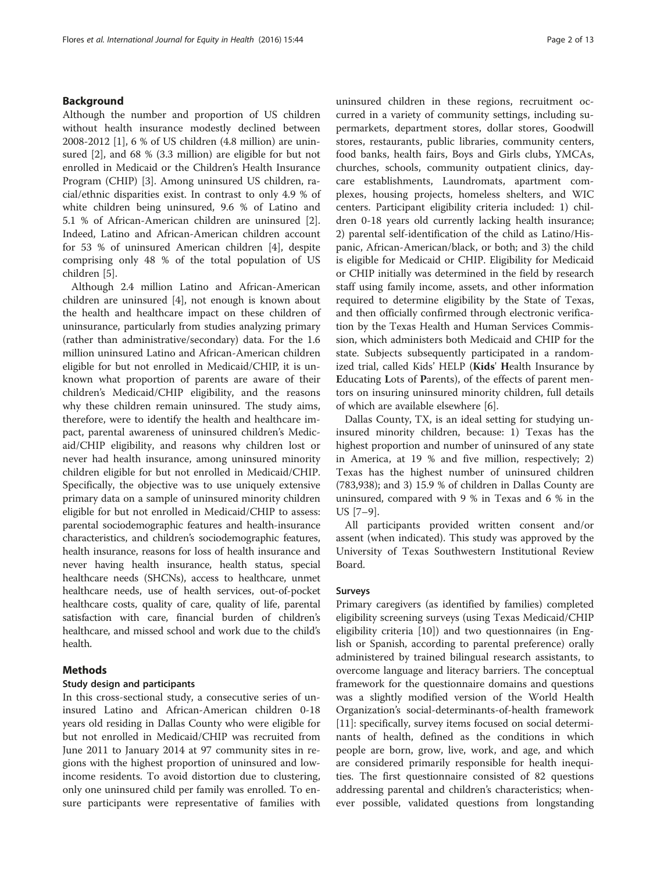## Background

Although the number and proportion of US children without health insurance modestly declined between 2008-2012 [[1\]](#page-11-0), 6 % of US children (4.8 million) are uninsured [[2\]](#page-11-0), and 68 % (3.3 million) are eligible for but not enrolled in Medicaid or the Children's Health Insurance Program (CHIP) [[3](#page-11-0)]. Among uninsured US children, racial/ethnic disparities exist. In contrast to only 4.9 % of white children being uninsured, 9.6 % of Latino and 5.1 % of African-American children are uninsured [\[2](#page-11-0)]. Indeed, Latino and African-American children account for 53 % of uninsured American children [[4](#page-11-0)], despite comprising only 48 % of the total population of US children [\[5](#page-11-0)].

Although 2.4 million Latino and African-American children are uninsured [\[4\]](#page-11-0), not enough is known about the health and healthcare impact on these children of uninsurance, particularly from studies analyzing primary (rather than administrative/secondary) data. For the 1.6 million uninsured Latino and African-American children eligible for but not enrolled in Medicaid/CHIP, it is unknown what proportion of parents are aware of their children's Medicaid/CHIP eligibility, and the reasons why these children remain uninsured. The study aims, therefore, were to identify the health and healthcare impact, parental awareness of uninsured children's Medicaid/CHIP eligibility, and reasons why children lost or never had health insurance, among uninsured minority children eligible for but not enrolled in Medicaid/CHIP. Specifically, the objective was to use uniquely extensive primary data on a sample of uninsured minority children eligible for but not enrolled in Medicaid/CHIP to assess: parental sociodemographic features and health-insurance characteristics, and children's sociodemographic features, health insurance, reasons for loss of health insurance and never having health insurance, health status, special healthcare needs (SHCNs), access to healthcare, unmet healthcare needs, use of health services, out-of-pocket healthcare costs, quality of care, quality of life, parental satisfaction with care, financial burden of children's healthcare, and missed school and work due to the child's health.

## Methods

## Study design and participants

In this cross-sectional study, a consecutive series of uninsured Latino and African-American children 0-18 years old residing in Dallas County who were eligible for but not enrolled in Medicaid/CHIP was recruited from June 2011 to January 2014 at 97 community sites in regions with the highest proportion of uninsured and lowincome residents. To avoid distortion due to clustering, only one uninsured child per family was enrolled. To ensure participants were representative of families with

uninsured children in these regions, recruitment occurred in a variety of community settings, including supermarkets, department stores, dollar stores, Goodwill stores, restaurants, public libraries, community centers, food banks, health fairs, Boys and Girls clubs, YMCAs, churches, schools, community outpatient clinics, daycare establishments, Laundromats, apartment complexes, housing projects, homeless shelters, and WIC centers. Participant eligibility criteria included: 1) children 0-18 years old currently lacking health insurance; 2) parental self-identification of the child as Latino/Hispanic, African-American/black, or both; and 3) the child is eligible for Medicaid or CHIP. Eligibility for Medicaid or CHIP initially was determined in the field by research staff using family income, assets, and other information required to determine eligibility by the State of Texas, and then officially confirmed through electronic verification by the Texas Health and Human Services Commission, which administers both Medicaid and CHIP for the state. Subjects subsequently participated in a randomized trial, called Kids' HELP (Kids' Health Insurance by Educating Lots of Parents), of the effects of parent mentors on insuring uninsured minority children, full details of which are available elsewhere [\[6\]](#page-11-0).

Dallas County, TX, is an ideal setting for studying uninsured minority children, because: 1) Texas has the highest proportion and number of uninsured of any state in America, at 19 % and five million, respectively; 2) Texas has the highest number of uninsured children (783,938); and 3) 15.9 % of children in Dallas County are uninsured, compared with 9 % in Texas and 6 % in the US [[7](#page-11-0)–[9\]](#page-11-0).

All participants provided written consent and/or assent (when indicated). This study was approved by the University of Texas Southwestern Institutional Review Board.

### Surveys

Primary caregivers (as identified by families) completed eligibility screening surveys (using Texas Medicaid/CHIP eligibility criteria [\[10\]](#page-11-0)) and two questionnaires (in English or Spanish, according to parental preference) orally administered by trained bilingual research assistants, to overcome language and literacy barriers. The conceptual framework for the questionnaire domains and questions was a slightly modified version of the World Health Organization's social-determinants-of-health framework [[11\]](#page-11-0): specifically, survey items focused on social determinants of health, defined as the conditions in which people are born, grow, live, work, and age, and which are considered primarily responsible for health inequities. The first questionnaire consisted of 82 questions addressing parental and children's characteristics; whenever possible, validated questions from longstanding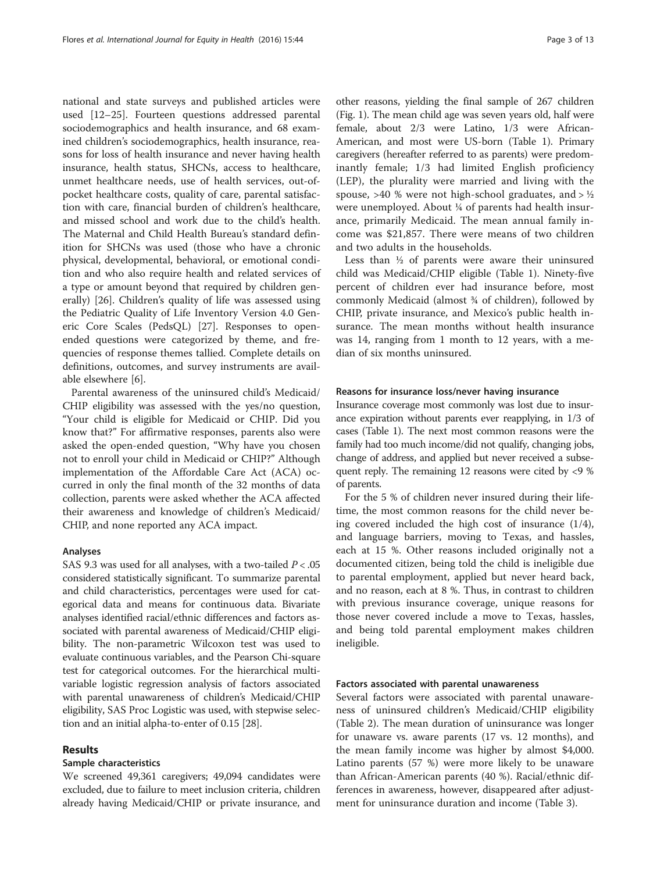national and state surveys and published articles were used [\[12](#page-11-0)–[25\]](#page-12-0). Fourteen questions addressed parental sociodemographics and health insurance, and 68 examined children's sociodemographics, health insurance, reasons for loss of health insurance and never having health insurance, health status, SHCNs, access to healthcare, unmet healthcare needs, use of health services, out-ofpocket healthcare costs, quality of care, parental satisfaction with care, financial burden of children's healthcare, and missed school and work due to the child's health. The Maternal and Child Health Bureau's standard definition for SHCNs was used (those who have a chronic physical, developmental, behavioral, or emotional condition and who also require health and related services of a type or amount beyond that required by children generally) [[26\]](#page-12-0). Children's quality of life was assessed using the Pediatric Quality of Life Inventory Version 4.0 Generic Core Scales (PedsQL) [[27\]](#page-12-0). Responses to openended questions were categorized by theme, and frequencies of response themes tallied. Complete details on definitions, outcomes, and survey instruments are available elsewhere [[6\]](#page-11-0).

Parental awareness of the uninsured child's Medicaid/ CHIP eligibility was assessed with the yes/no question, "Your child is eligible for Medicaid or CHIP. Did you know that?" For affirmative responses, parents also were asked the open-ended question, "Why have you chosen not to enroll your child in Medicaid or CHIP?" Although implementation of the Affordable Care Act (ACA) occurred in only the final month of the 32 months of data collection, parents were asked whether the ACA affected their awareness and knowledge of children's Medicaid/ CHIP, and none reported any ACA impact.

### Analyses

SAS 9.3 was used for all analyses, with a two-tailed  $P < .05$ considered statistically significant. To summarize parental and child characteristics, percentages were used for categorical data and means for continuous data. Bivariate analyses identified racial/ethnic differences and factors associated with parental awareness of Medicaid/CHIP eligibility. The non-parametric Wilcoxon test was used to evaluate continuous variables, and the Pearson Chi-square test for categorical outcomes. For the hierarchical multivariable logistic regression analysis of factors associated with parental unawareness of children's Medicaid/CHIP eligibility, SAS Proc Logistic was used, with stepwise selection and an initial alpha-to-enter of 0.15 [[28](#page-12-0)].

## Results

### Sample characteristics

We screened 49,361 caregivers; 49,094 candidates were excluded, due to failure to meet inclusion criteria, children already having Medicaid/CHIP or private insurance, and other reasons, yielding the final sample of 267 children (Fig. [1\)](#page-3-0). The mean child age was seven years old, half were female, about 2/3 were Latino, 1/3 were African-American, and most were US-born (Table [1](#page-4-0)). Primary caregivers (hereafter referred to as parents) were predominantly female; 1/3 had limited English proficiency (LEP), the plurality were married and living with the spouse,  $>40$  % were not high-school graduates, and  $>1/2$ were unemployed. About ¼ of parents had health insurance, primarily Medicaid. The mean annual family income was \$21,857. There were means of two children and two adults in the households.

Less than ½ of parents were aware their uninsured child was Medicaid/CHIP eligible (Table [1\)](#page-4-0). Ninety-five percent of children ever had insurance before, most commonly Medicaid (almost ¾ of children), followed by CHIP, private insurance, and Mexico's public health insurance. The mean months without health insurance was 14, ranging from 1 month to 12 years, with a median of six months uninsured.

## Reasons for insurance loss/never having insurance

Insurance coverage most commonly was lost due to insurance expiration without parents ever reapplying, in 1/3 of cases (Table [1\)](#page-4-0). The next most common reasons were the family had too much income/did not qualify, changing jobs, change of address, and applied but never received a subsequent reply. The remaining 12 reasons were cited by <9 % of parents.

For the 5 % of children never insured during their lifetime, the most common reasons for the child never being covered included the high cost of insurance (1/4), and language barriers, moving to Texas, and hassles, each at 15 %. Other reasons included originally not a documented citizen, being told the child is ineligible due to parental employment, applied but never heard back, and no reason, each at 8 %. Thus, in contrast to children with previous insurance coverage, unique reasons for those never covered include a move to Texas, hassles, and being told parental employment makes children ineligible.

### Factors associated with parental unawareness

Several factors were associated with parental unawareness of uninsured children's Medicaid/CHIP eligibility (Table [2](#page-5-0)). The mean duration of uninsurance was longer for unaware vs. aware parents (17 vs. 12 months), and the mean family income was higher by almost \$4,000. Latino parents (57 %) were more likely to be unaware than African-American parents (40 %). Racial/ethnic differences in awareness, however, disappeared after adjustment for uninsurance duration and income (Table [3](#page-6-0)).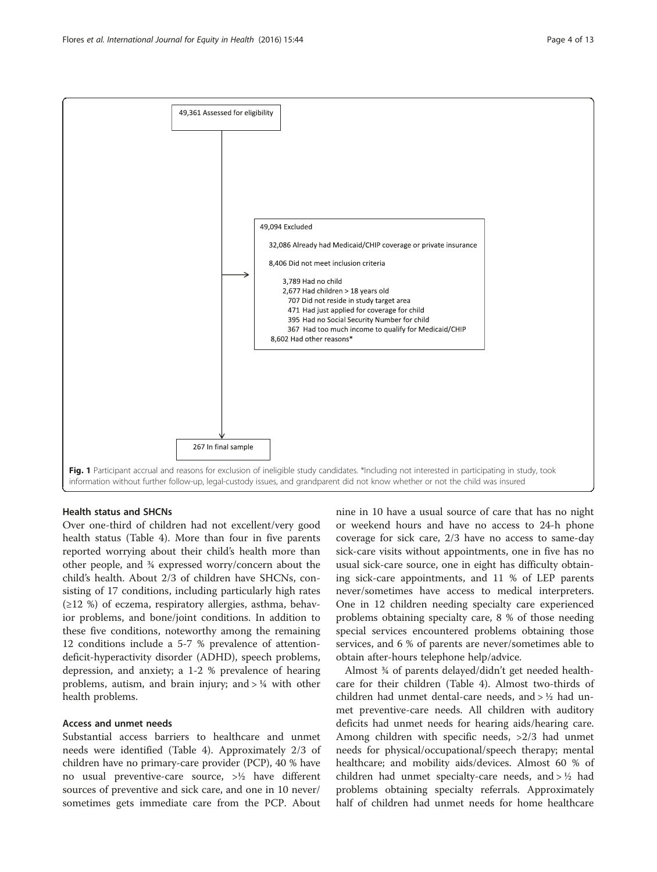<span id="page-3-0"></span>

## Health status and SHCNs

Over one-third of children had not excellent/very good health status (Table [4\)](#page-7-0). More than four in five parents reported worrying about their child's health more than other people, and ¾ expressed worry/concern about the child's health. About 2/3 of children have SHCNs, consisting of 17 conditions, including particularly high rates  $(\geq 12 \%)$  of eczema, respiratory allergies, asthma, behavior problems, and bone/joint conditions. In addition to these five conditions, noteworthy among the remaining 12 conditions include a 5-7 % prevalence of attentiondeficit-hyperactivity disorder (ADHD), speech problems, depression, and anxiety; a 1-2 % prevalence of hearing problems, autism, and brain injury; and  $>$  ¼ with other health problems.

## Access and unmet needs

Substantial access barriers to healthcare and unmet needs were identified (Table [4](#page-7-0)). Approximately 2/3 of children have no primary-care provider (PCP), 40 % have no usual preventive-care source, >½ have different sources of preventive and sick care, and one in 10 never/ sometimes gets immediate care from the PCP. About

nine in 10 have a usual source of care that has no night or weekend hours and have no access to 24-h phone coverage for sick care, 2/3 have no access to same-day sick-care visits without appointments, one in five has no usual sick-care source, one in eight has difficulty obtaining sick-care appointments, and 11 % of LEP parents never/sometimes have access to medical interpreters. One in 12 children needing specialty care experienced problems obtaining specialty care, 8 % of those needing special services encountered problems obtaining those services, and 6 % of parents are never/sometimes able to obtain after-hours telephone help/advice.

Almost ¾ of parents delayed/didn't get needed healthcare for their children (Table [4](#page-7-0)). Almost two-thirds of children had unmet dental-care needs, and > ½ had unmet preventive-care needs. All children with auditory deficits had unmet needs for hearing aids/hearing care. Among children with specific needs, >2/3 had unmet needs for physical/occupational/speech therapy; mental healthcare; and mobility aids/devices. Almost 60 % of children had unmet specialty-care needs, and  $>$  ½ had problems obtaining specialty referrals. Approximately half of children had unmet needs for home healthcare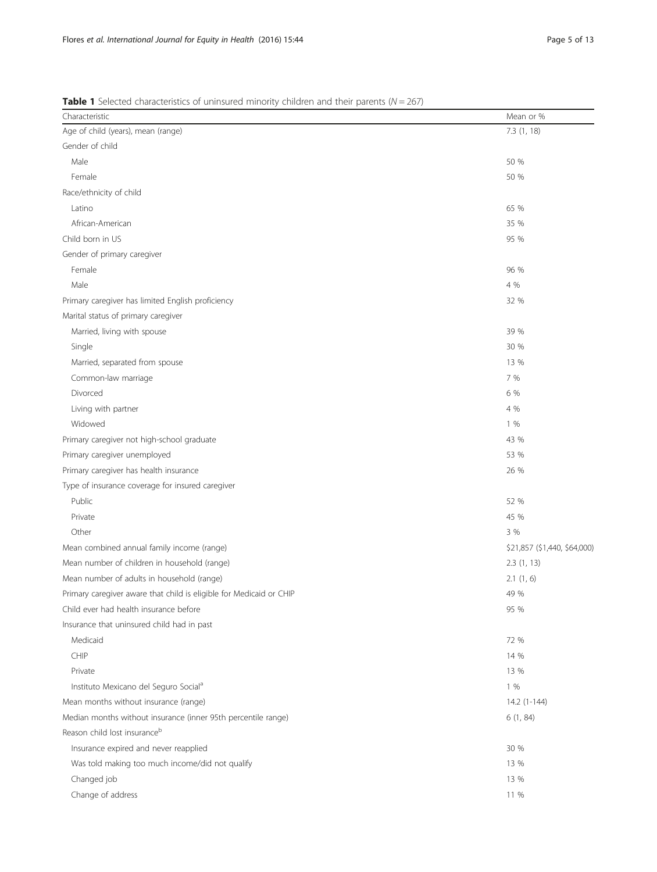<span id="page-4-0"></span>**Table 1** Selected characteristics of uninsured minority children and their parents ( $N = 267$ )

| Characteristic                                                      | Mean or %                    |
|---------------------------------------------------------------------|------------------------------|
| Age of child (years), mean (range)                                  | 7.3(1, 18)                   |
| Gender of child                                                     |                              |
| Male                                                                | 50 %                         |
| Female                                                              | 50 %                         |
| Race/ethnicity of child                                             |                              |
| Latino                                                              | 65 %                         |
| African-American                                                    | 35 %                         |
| Child born in US                                                    | 95 %                         |
| Gender of primary caregiver                                         |                              |
| Female                                                              | 96 %                         |
| Male                                                                | 4 %                          |
| Primary caregiver has limited English proficiency                   | 32 %                         |
| Marital status of primary caregiver                                 |                              |
| Married, living with spouse                                         | 39 %                         |
| Single                                                              | 30 %                         |
| Married, separated from spouse                                      | 13 %                         |
| Common-law marriage                                                 | 7 %                          |
| Divorced                                                            | 6 %                          |
| Living with partner                                                 | 4 %                          |
| Widowed                                                             | 1%                           |
| Primary caregiver not high-school graduate                          | 43 %                         |
| Primary caregiver unemployed                                        | 53 %                         |
| Primary caregiver has health insurance                              | 26 %                         |
| Type of insurance coverage for insured caregiver                    |                              |
| Public                                                              | 52 %                         |
| Private                                                             | 45 %                         |
| Other                                                               | 3 %                          |
| Mean combined annual family income (range)                          | \$21,857 (\$1,440, \$64,000) |
| Mean number of children in household (range)                        | 2.3(1, 13)                   |
| Mean number of adults in household (range)                          | 2.1(1, 6)                    |
| Primary caregiver aware that child is eligible for Medicaid or CHIP | 49 %                         |
| Child ever had health insurance before                              | 95 %                         |
| Insurance that uninsured child had in past                          |                              |
| Medicaid                                                            | 72 %                         |
| CHIP                                                                | 14 %                         |
| Private                                                             | 13 %                         |
| Instituto Mexicano del Seguro Social <sup>a</sup>                   | 1 %                          |
| Mean months without insurance (range)                               | 14.2 (1-144)                 |
| Median months without insurance (inner 95th percentile range)       | 6(1, 84)                     |
| Reason child lost insuranceb                                        |                              |
| Insurance expired and never reapplied                               | 30 %                         |
| Was told making too much income/did not qualify                     | 13 %                         |
| Changed job                                                         | 13 %                         |
| Change of address                                                   | 11 %                         |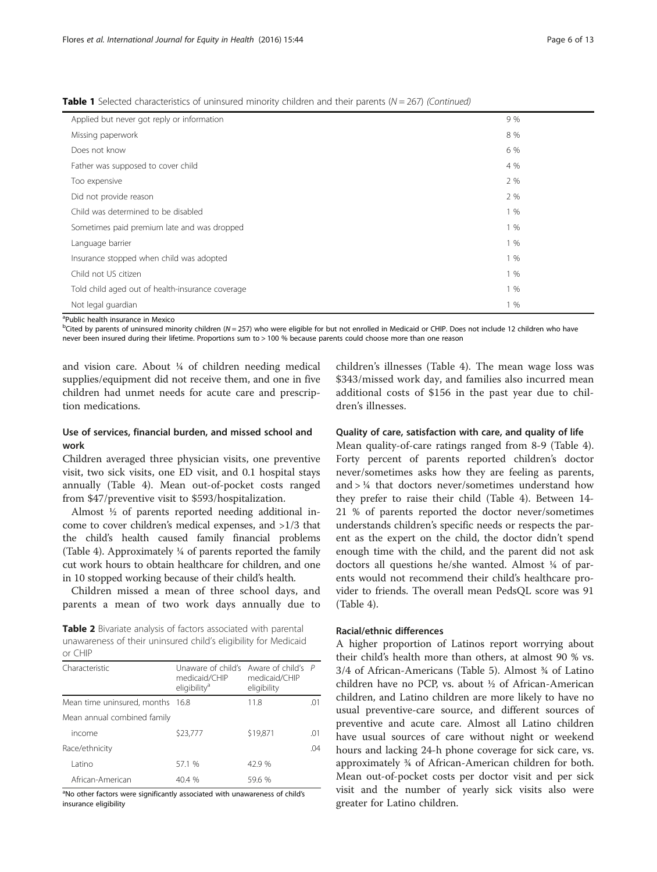<span id="page-5-0"></span>

|  |  | Table 1 Selected characteristics of uninsured minority children and their parents (N = 267) (Continued) |  |  |  |  |  |  |  |
|--|--|---------------------------------------------------------------------------------------------------------|--|--|--|--|--|--|--|
|--|--|---------------------------------------------------------------------------------------------------------|--|--|--|--|--|--|--|

| Applied but never got reply or information       | 9 % |
|--------------------------------------------------|-----|
| Missing paperwork                                | 8 % |
| Does not know                                    | 6 % |
| Father was supposed to cover child               | 4 % |
| Too expensive                                    | 2 % |
| Did not provide reason                           | 2 % |
| Child was determined to be disabled              | 1%  |
| Sometimes paid premium late and was dropped      | 1%  |
| Language barrier                                 | 1%  |
| Insurance stopped when child was adopted         | 1%  |
| Child not US citizen                             | 1%  |
| Told child aged out of health-insurance coverage | 1%  |
| Not legal guardian                               | 1%  |

a Public health insurance in Mexico

<sup>b</sup>Cited by parents of uninsured minority children (N = 257) who were eligible for but not enrolled in Medicaid or CHIP. Does not include 12 children who have never been insured during their lifetime. Proportions sum to > 100 % because parents could choose more than one reason

and vision care. About ¼ of children needing medical supplies/equipment did not receive them, and one in five children had unmet needs for acute care and prescription medications.

## Use of services, financial burden, and missed school and work

Children averaged three physician visits, one preventive visit, two sick visits, one ED visit, and 0.1 hospital stays annually (Table [4\)](#page-7-0). Mean out-of-pocket costs ranged from \$47/preventive visit to \$593/hospitalization.

Almost ½ of parents reported needing additional income to cover children's medical expenses, and >1/3 that the child's health caused family financial problems (Table [4](#page-7-0)). Approximately ¼ of parents reported the family cut work hours to obtain healthcare for children, and one in 10 stopped working because of their child's health.

Children missed a mean of three school days, and parents a mean of two work days annually due to

Table 2 Bivariate analysis of factors associated with parental unawareness of their uninsured child's eligibility for Medicaid or CHIP

| Characteristic                   | Unaware of child's Aware of child's P<br>medicaid/CHIP<br>eligibility <sup>a</sup> | medicaid/CHIP<br>eligibility |     |
|----------------------------------|------------------------------------------------------------------------------------|------------------------------|-----|
| Mean time uninsured, months 16.8 |                                                                                    | 11.8                         | 01  |
| Mean annual combined family      |                                                                                    |                              |     |
| income                           | \$23,777                                                                           | \$19,871                     | .01 |
| Race/ethnicity                   |                                                                                    |                              | 04  |
| l atino                          | 57.1 %                                                                             | 42.9%                        |     |
| African-American                 | 40.4 %                                                                             | 59.6 %                       |     |
|                                  |                                                                                    |                              |     |

<sup>a</sup>No other factors were significantly associated with unawareness of child's insurance eligibility

children's illnesses (Table [4\)](#page-7-0). The mean wage loss was \$343/missed work day, and families also incurred mean additional costs of \$156 in the past year due to children's illnesses.

## Quality of care, satisfaction with care, and quality of life

Mean quality-of-care ratings ranged from 8-9 (Table [4](#page-7-0)). Forty percent of parents reported children's doctor never/sometimes asks how they are feeling as parents, and  $>$  ¼ that doctors never/sometimes understand how they prefer to raise their child (Table [4\)](#page-7-0). Between 14- 21 % of parents reported the doctor never/sometimes understands children's specific needs or respects the parent as the expert on the child, the doctor didn't spend enough time with the child, and the parent did not ask doctors all questions he/she wanted. Almost ¼ of parents would not recommend their child's healthcare provider to friends. The overall mean PedsQL score was 91 (Table [4\)](#page-7-0).

## Racial/ethnic differences

A higher proportion of Latinos report worrying about their child's health more than others, at almost 90 % vs. 3/4 of African-Americans (Table [5](#page-10-0)). Almost ¾ of Latino children have no PCP, vs. about ½ of African-American children, and Latino children are more likely to have no usual preventive-care source, and different sources of preventive and acute care. Almost all Latino children have usual sources of care without night or weekend hours and lacking 24-h phone coverage for sick care, vs. approximately ¾ of African-American children for both. Mean out-of-pocket costs per doctor visit and per sick visit and the number of yearly sick visits also were greater for Latino children.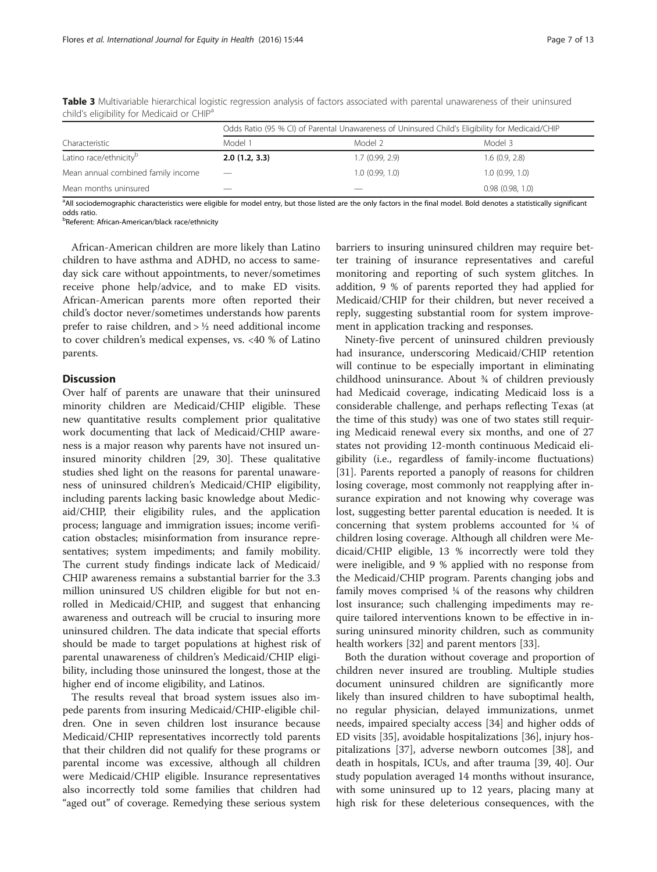|                                    | Odds Ratio (95 % CI) of Parental Unawareness of Uninsured Child's Eligibility for Medicaid/CHIP |                |                 |  |
|------------------------------------|-------------------------------------------------------------------------------------------------|----------------|-----------------|--|
| Characteristic                     | Model 1                                                                                         | Model 2        | Model 3         |  |
| Latino race/ethnicity <sup>b</sup> | 2.0(1.2, 3.3)                                                                                   | 1.7(0.99, 2.9) | 1.6(0.9, 2.8)   |  |
| Mean annual combined family income |                                                                                                 | 1.0(0.99, 1.0) | 1.0(0.99, 1.0)  |  |
| Mean months uninsured              | __                                                                                              | __             | 0.98(0.98, 1.0) |  |

<span id="page-6-0"></span>Table 3 Multivariable hierarchical logistic regression analysis of factors associated with parental unawareness of their uninsured child's eligibility for Medicaid or CHIP<sup>a</sup>

a<br>All sociodemographic characteristics were eligible for model entry, but those listed are the only factors in the final model. Bold denotes a statistically significant odds ratio.

<sup>b</sup>Referent: African-American/black race/ethnicity

African-American children are more likely than Latino children to have asthma and ADHD, no access to sameday sick care without appointments, to never/sometimes receive phone help/advice, and to make ED visits. African-American parents more often reported their child's doctor never/sometimes understands how parents prefer to raise children, and > ½ need additional income to cover children's medical expenses, vs. <40 % of Latino parents.

## **Discussion**

Over half of parents are unaware that their uninsured minority children are Medicaid/CHIP eligible. These new quantitative results complement prior qualitative work documenting that lack of Medicaid/CHIP awareness is a major reason why parents have not insured uninsured minority children [[29, 30\]](#page-12-0). These qualitative studies shed light on the reasons for parental unawareness of uninsured children's Medicaid/CHIP eligibility, including parents lacking basic knowledge about Medicaid/CHIP, their eligibility rules, and the application process; language and immigration issues; income verification obstacles; misinformation from insurance representatives; system impediments; and family mobility. The current study findings indicate lack of Medicaid/ CHIP awareness remains a substantial barrier for the 3.3 million uninsured US children eligible for but not enrolled in Medicaid/CHIP, and suggest that enhancing awareness and outreach will be crucial to insuring more uninsured children. The data indicate that special efforts should be made to target populations at highest risk of parental unawareness of children's Medicaid/CHIP eligibility, including those uninsured the longest, those at the higher end of income eligibility, and Latinos.

The results reveal that broad system issues also impede parents from insuring Medicaid/CHIP-eligible children. One in seven children lost insurance because Medicaid/CHIP representatives incorrectly told parents that their children did not qualify for these programs or parental income was excessive, although all children were Medicaid/CHIP eligible. Insurance representatives also incorrectly told some families that children had "aged out" of coverage. Remedying these serious system

barriers to insuring uninsured children may require better training of insurance representatives and careful monitoring and reporting of such system glitches. In addition, 9 % of parents reported they had applied for Medicaid/CHIP for their children, but never received a reply, suggesting substantial room for system improvement in application tracking and responses.

Ninety-five percent of uninsured children previously had insurance, underscoring Medicaid/CHIP retention will continue to be especially important in eliminating childhood uninsurance. About ¾ of children previously had Medicaid coverage, indicating Medicaid loss is a considerable challenge, and perhaps reflecting Texas (at the time of this study) was one of two states still requiring Medicaid renewal every six months, and one of 27 states not providing 12-month continuous Medicaid eligibility (i.e., regardless of family-income fluctuations) [[31\]](#page-12-0). Parents reported a panoply of reasons for children losing coverage, most commonly not reapplying after insurance expiration and not knowing why coverage was lost, suggesting better parental education is needed. It is concerning that system problems accounted for ¼ of children losing coverage. Although all children were Medicaid/CHIP eligible, 13 % incorrectly were told they were ineligible, and 9 % applied with no response from the Medicaid/CHIP program. Parents changing jobs and family moves comprised ¼ of the reasons why children lost insurance; such challenging impediments may require tailored interventions known to be effective in insuring uninsured minority children, such as community health workers [\[32](#page-12-0)] and parent mentors [\[33](#page-12-0)].

Both the duration without coverage and proportion of children never insured are troubling. Multiple studies document uninsured children are significantly more likely than insured children to have suboptimal health, no regular physician, delayed immunizations, unmet needs, impaired specialty access [[34](#page-12-0)] and higher odds of ED visits [\[35\]](#page-12-0), avoidable hospitalizations [[36\]](#page-12-0), injury hospitalizations [[37\]](#page-12-0), adverse newborn outcomes [[38\]](#page-12-0), and death in hospitals, ICUs, and after trauma [[39](#page-12-0), [40\]](#page-12-0). Our study population averaged 14 months without insurance, with some uninsured up to 12 years, placing many at high risk for these deleterious consequences, with the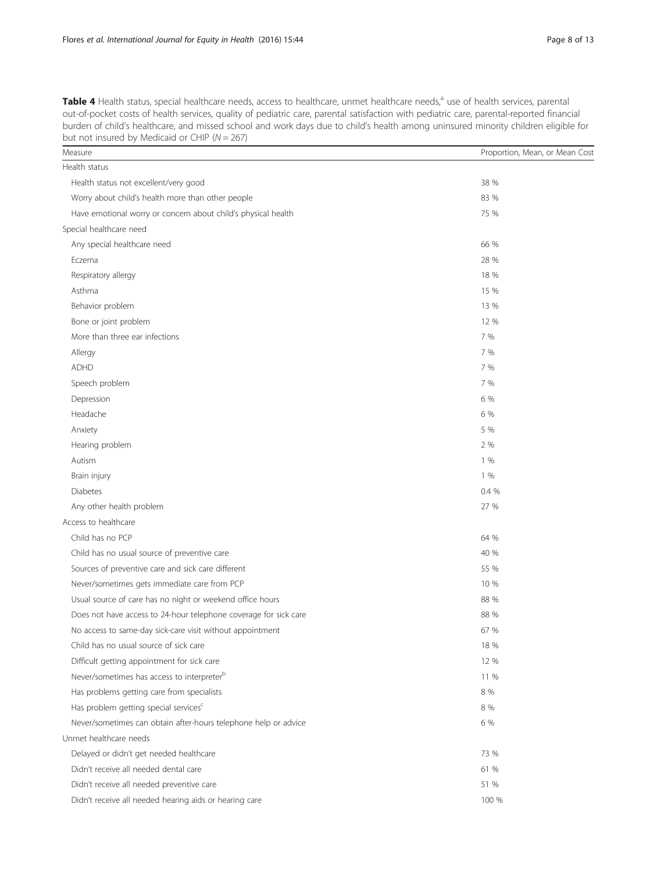<span id="page-7-0"></span>Table 4 Health status, special healthcare needs, access to healthcare, unmet healthcare needs,<sup>a</sup> use of health services, parental out-of-pocket costs of health services, quality of pediatric care, parental satisfaction with pediatric care, parental-reported financial burden of child's healthcare, and missed school and work days due to child's health among uninsured minority children eligible for but not insured by Medicaid or CHIP ( $N = 267$ )

| Measure                                                          | Proportion, Mean, or Mean Cost |
|------------------------------------------------------------------|--------------------------------|
| Health status                                                    |                                |
| Health status not excellent/very good                            | 38 %                           |
| Worry about child's health more than other people                | 83 %                           |
| Have emotional worry or concern about child's physical health    | 75 %                           |
| Special healthcare need                                          |                                |
| Any special healthcare need                                      | 66 %                           |
| Eczema                                                           | 28 %                           |
| Respiratory allergy                                              | 18 %                           |
| Asthma                                                           | 15 %                           |
| Behavior problem                                                 | 13 %                           |
| Bone or joint problem                                            | 12 %                           |
| More than three ear infections                                   | 7 %                            |
| Allergy                                                          | 7 %                            |
| <b>ADHD</b>                                                      | 7 %                            |
| Speech problem                                                   | 7 %                            |
| Depression                                                       | 6 %                            |
| Headache                                                         | 6 %                            |
| Anxiety                                                          | 5 %                            |
| Hearing problem                                                  | 2 %                            |
| Autism                                                           | 1%                             |
| Brain injury                                                     | 1%                             |
| <b>Diabetes</b>                                                  | 0.4 %                          |
| Any other health problem                                         | 27 %                           |
| Access to healthcare                                             |                                |
| Child has no PCP                                                 | 64 %                           |
| Child has no usual source of preventive care                     | 40 %                           |
| Sources of preventive care and sick care different               | 55 %                           |
| Never/sometimes gets immediate care from PCP                     | 10 %                           |
| Usual source of care has no night or weekend office hours        | 88 %                           |
| Does not have access to 24-hour telephone coverage for sick care | 88 %                           |
| No access to same-day sick-care visit without appointment        | 67 %                           |
| Child has no usual source of sick care                           | 18 %                           |
| Difficult getting appointment for sick care                      | 12 %                           |
| Never/sometimes has access to interpreter <sup>b</sup>           | 11 %                           |
| Has problems getting care from specialists                       | 8 %                            |
| Has problem getting special services <sup>c</sup>                | 8 %                            |
| Never/sometimes can obtain after-hours telephone help or advice  | 6 %                            |
| Unmet healthcare needs                                           |                                |
| Delayed or didn't get needed healthcare                          | 73 %                           |
| Didn't receive all needed dental care                            | 61 %                           |
| Didn't receive all needed preventive care                        | 51 %                           |
| Didn't receive all needed hearing aids or hearing care           | 100 %                          |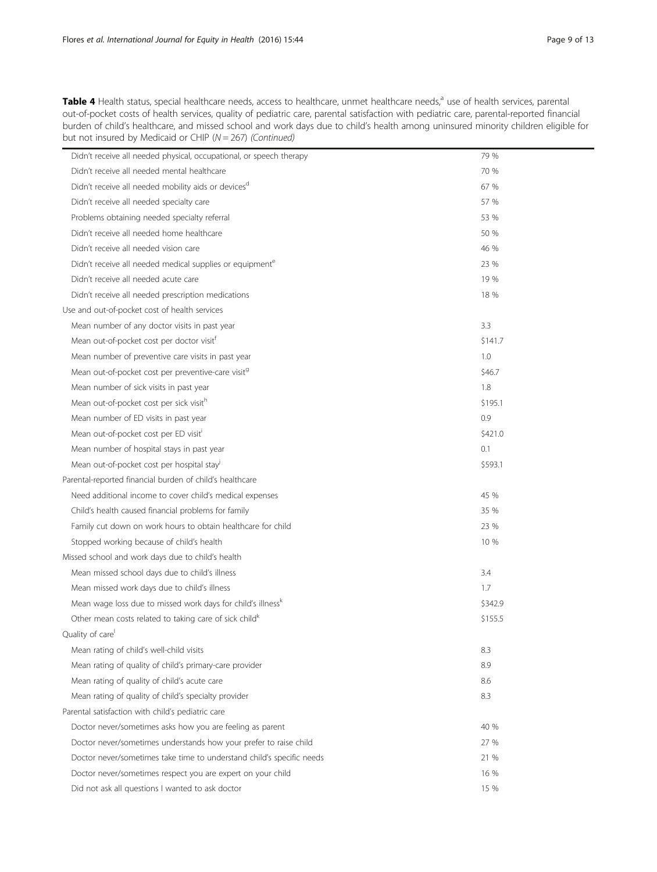Table 4 Health status, special healthcare needs, access to healthcare, unmet healthcare needs,<sup>a</sup> use of health services, parental out-of-pocket costs of health services, quality of pediatric care, parental satisfaction with pediatric care, parental-reported financial burden of child's healthcare, and missed school and work days due to child's health among uninsured minority children eligible for but not insured by Medicaid or CHIP ( $N = 267$ ) (Continued)

| Didn't receive all needed physical, occupational, or speech therapy     | 79 %    |
|-------------------------------------------------------------------------|---------|
| Didn't receive all needed mental healthcare                             | 70 %    |
| Didn't receive all needed mobility aids or devices <sup>d</sup>         | 67 %    |
| Didn't receive all needed specialty care                                | 57 %    |
| Problems obtaining needed specialty referral                            | 53 %    |
| Didn't receive all needed home healthcare                               | 50 %    |
| Didn't receive all needed vision care                                   | 46 %    |
| Didn't receive all needed medical supplies or equipment <sup>e</sup>    | 23 %    |
| Didn't receive all needed acute care                                    | 19 %    |
| Didn't receive all needed prescription medications                      | 18 %    |
| Use and out-of-pocket cost of health services                           |         |
| Mean number of any doctor visits in past year                           | 3.3     |
| Mean out-of-pocket cost per doctor visit <sup>t</sup>                   | \$141.7 |
| Mean number of preventive care visits in past year                      | 1.0     |
| Mean out-of-pocket cost per preventive-care visit <sup>9</sup>          | \$46.7  |
| Mean number of sick visits in past year                                 | 1.8     |
| Mean out-of-pocket cost per sick visith                                 | \$195.1 |
| Mean number of ED visits in past year                                   | 0.9     |
| Mean out-of-pocket cost per ED visiti                                   | \$421.0 |
| Mean number of hospital stays in past year                              | 0.1     |
| Mean out-of-pocket cost per hospital stay                               | \$593.1 |
| Parental-reported financial burden of child's healthcare                |         |
| Need additional income to cover child's medical expenses                | 45 %    |
| Child's health caused financial problems for family                     | 35 %    |
| Family cut down on work hours to obtain healthcare for child            | 23 %    |
| Stopped working because of child's health                               | 10 %    |
| Missed school and work days due to child's health                       |         |
| Mean missed school days due to child's illness                          | 3.4     |
| Mean missed work days due to child's illness                            | 1.7     |
| Mean wage loss due to missed work days for child's illness <sup>k</sup> | \$342.9 |
| Other mean costs related to taking care of sick child <sup>k</sup>      | \$155.5 |
| Quality of care                                                         |         |
| Mean rating of child's well-child visits                                | 8.3     |
| Mean rating of quality of child's primary-care provider                 | 8.9     |
| Mean rating of quality of child's acute care                            | 8.6     |
| Mean rating of quality of child's specialty provider                    | 8.3     |
| Parental satisfaction with child's pediatric care                       |         |
| Doctor never/sometimes asks how you are feeling as parent               | 40 %    |
| Doctor never/sometimes understands how your prefer to raise child       | 27 %    |
| Doctor never/sometimes take time to understand child's specific needs   | 21 %    |
| Doctor never/sometimes respect you are expert on your child             | 16 %    |
| Did not ask all questions I wanted to ask doctor                        | 15 %    |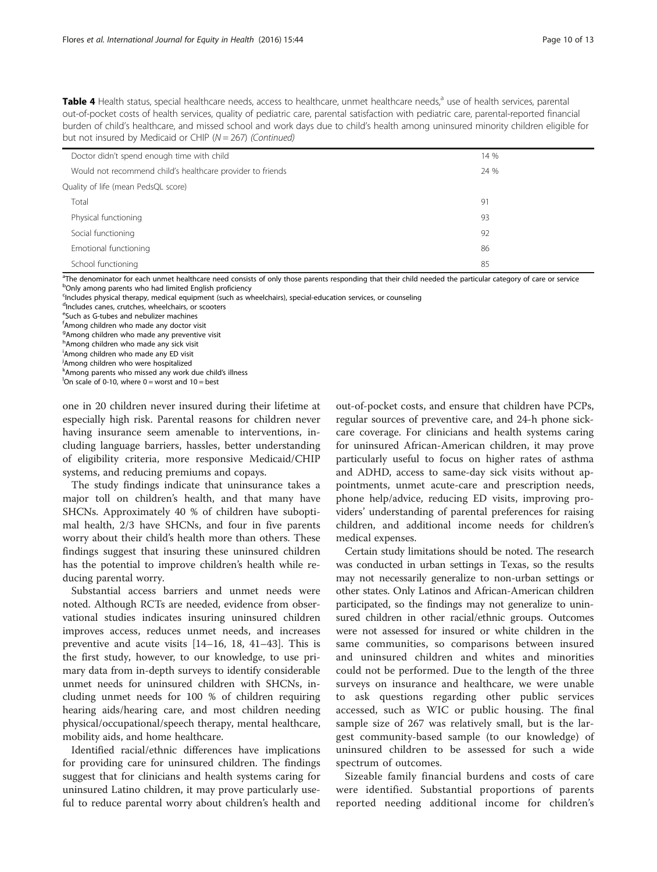Table 4 Health status, special healthcare needs, access to healthcare, unmet healthcare needs,<sup>a</sup> use of health services, parental out-of-pocket costs of health services, quality of pediatric care, parental satisfaction with pediatric care, parental-reported financial burden of child's healthcare, and missed school and work days due to child's health among uninsured minority children eligible for but not insured by Medicaid or CHIP ( $N = 267$ ) (Continued)

| Doctor didn't spend enough time with child                 | 14 % |
|------------------------------------------------------------|------|
| Would not recommend child's healthcare provider to friends | 24 % |
| Quality of life (mean PedsQL score)                        |      |
| Total                                                      | 91   |
| Physical functioning                                       | 93   |
| Social functioning                                         | 92   |
| Emotional functioning                                      | 86   |
| School functioning                                         | 85   |

<sup>a</sup>The denominator for each unmet healthcare need consists of only those parents responding that their child needed the particular category of care or service<br><sup>b</sup>Only among parents who had limited English proficiency Only among parents who had limited English proficiency

<sup>c</sup>Includes physical therapy, medical equipment (such as wheelchairs), special-education services, or counseling

d<sub>Includes</sub> canes, crutches, wheelchairs, or scooters

e Such as G-tubes and nebulizer machines

f Among children who made any doctor visit

<sup>9</sup> Among children who made any preventive visit

h<br>Among children who made any sick visit

i Among children who made any ED visit

j Among children who were hospitalized

<sup>k</sup> Among parents who missed any work due child's illness<br><sup>I</sup>OP scale of 0.10, where 0 = worst and 10 = best

<sup>1</sup>On scale of 0-10, where  $0 =$  worst and  $10 =$  best

one in 20 children never insured during their lifetime at especially high risk. Parental reasons for children never having insurance seem amenable to interventions, including language barriers, hassles, better understanding of eligibility criteria, more responsive Medicaid/CHIP systems, and reducing premiums and copays.

The study findings indicate that uninsurance takes a major toll on children's health, and that many have SHCNs. Approximately 40 % of children have suboptimal health, 2/3 have SHCNs, and four in five parents worry about their child's health more than others. These findings suggest that insuring these uninsured children has the potential to improve children's health while reducing parental worry.

Substantial access barriers and unmet needs were noted. Although RCTs are needed, evidence from observational studies indicates insuring uninsured children improves access, reduces unmet needs, and increases preventive and acute visits [[14](#page-11-0)–[16](#page-11-0), [18,](#page-11-0) [41](#page-12-0)–[43\]](#page-12-0). This is the first study, however, to our knowledge, to use primary data from in-depth surveys to identify considerable unmet needs for uninsured children with SHCNs, including unmet needs for 100 % of children requiring hearing aids/hearing care, and most children needing physical/occupational/speech therapy, mental healthcare, mobility aids, and home healthcare.

Identified racial/ethnic differences have implications for providing care for uninsured children. The findings suggest that for clinicians and health systems caring for uninsured Latino children, it may prove particularly useful to reduce parental worry about children's health and out-of-pocket costs, and ensure that children have PCPs, regular sources of preventive care, and 24-h phone sickcare coverage. For clinicians and health systems caring for uninsured African-American children, it may prove particularly useful to focus on higher rates of asthma and ADHD, access to same-day sick visits without appointments, unmet acute-care and prescription needs, phone help/advice, reducing ED visits, improving providers' understanding of parental preferences for raising children, and additional income needs for children's medical expenses.

Certain study limitations should be noted. The research was conducted in urban settings in Texas, so the results may not necessarily generalize to non-urban settings or other states. Only Latinos and African-American children participated, so the findings may not generalize to uninsured children in other racial/ethnic groups. Outcomes were not assessed for insured or white children in the same communities, so comparisons between insured and uninsured children and whites and minorities could not be performed. Due to the length of the three surveys on insurance and healthcare, we were unable to ask questions regarding other public services accessed, such as WIC or public housing. The final sample size of 267 was relatively small, but is the largest community-based sample (to our knowledge) of uninsured children to be assessed for such a wide spectrum of outcomes.

Sizeable family financial burdens and costs of care were identified. Substantial proportions of parents reported needing additional income for children's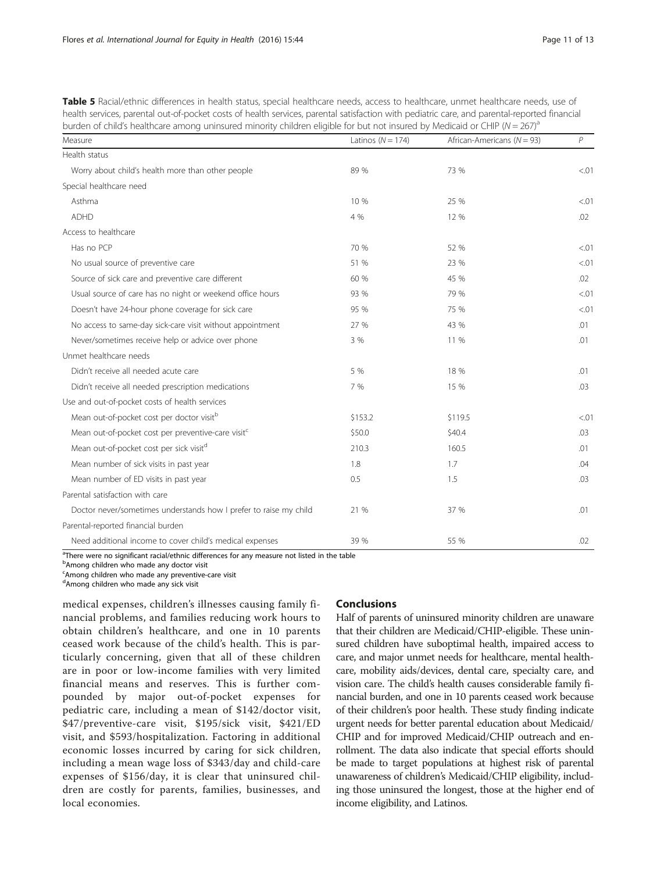<span id="page-10-0"></span>Table 5 Racial/ethnic differences in health status, special healthcare needs, access to healthcare, unmet healthcare needs, use of health services, parental out-of-pocket costs of health services, parental satisfaction with pediatric care, and parental-reported financial burden of child's healthcare among uninsured minority children eligible for but not insured by Medicaid or CHIP ( $N = 267$ )<sup>a</sup>

| Measure                                                           | Latinos ( $N = 174$ ) | African-Americans ( $N = 93$ ) | P      |
|-------------------------------------------------------------------|-----------------------|--------------------------------|--------|
| Health status                                                     |                       |                                |        |
| Worry about child's health more than other people                 | 89 %                  | 73 %                           | < 01   |
| Special healthcare need                                           |                       |                                |        |
| Asthma                                                            | 10 %                  | 25 %                           | < 0.01 |
| <b>ADHD</b>                                                       | 4 %                   | 12 %                           | .02    |
| Access to healthcare                                              |                       |                                |        |
| Has no PCP                                                        | 70 %                  | 52 %                           | < 0.01 |
| No usual source of preventive care                                | 51 %                  | 23 %                           | < 01   |
| Source of sick care and preventive care different                 | 60 %                  | 45 %                           | .02    |
| Usual source of care has no night or weekend office hours         | 93 %                  | 79 %                           | < 01   |
| Doesn't have 24-hour phone coverage for sick care                 | 95 %                  | 75 %                           | < 01   |
| No access to same-day sick-care visit without appointment         | 27 %                  | 43 %                           | .01    |
| Never/sometimes receive help or advice over phone                 | 3 %                   | 11 %                           | .01    |
| Unmet healthcare needs                                            |                       |                                |        |
| Didn't receive all needed acute care                              | 5 %                   | 18 %                           | .01    |
| Didn't receive all needed prescription medications                | 7 %                   | 15 %                           | .03    |
| Use and out-of-pocket costs of health services                    |                       |                                |        |
| Mean out-of-pocket cost per doctor visitb                         | \$153.2               | \$119.5                        | < 0.01 |
| Mean out-of-pocket cost per preventive-care visit <sup>c</sup>    | \$50.0                | \$40.4                         | .03    |
| Mean out-of-pocket cost per sick visit <sup>d</sup>               | 210.3                 | 160.5                          | .01    |
| Mean number of sick visits in past year                           | 1.8                   | 1.7                            | .04    |
| Mean number of ED visits in past year                             | 0.5                   | 1.5                            | .03    |
| Parental satisfaction with care                                   |                       |                                |        |
| Doctor never/sometimes understands how I prefer to raise my child | 21 %                  | 37 %                           | .01    |
| Parental-reported financial burden                                |                       |                                |        |
| Need additional income to cover child's medical expenses          | 39 %                  | 55 %                           | .02    |

<sup>a</sup>There were no significant racial/ethnic differences for any measure not listed in the table

<sup>b</sup>Among children who made any doctor visit

<sup>c</sup>Among children who made any preventive-care visit

d Among children who made any sick visit

medical expenses, children's illnesses causing family financial problems, and families reducing work hours to obtain children's healthcare, and one in 10 parents ceased work because of the child's health. This is particularly concerning, given that all of these children are in poor or low-income families with very limited financial means and reserves. This is further compounded by major out-of-pocket expenses for pediatric care, including a mean of \$142/doctor visit, \$47/preventive-care visit, \$195/sick visit, \$421/ED visit, and \$593/hospitalization. Factoring in additional economic losses incurred by caring for sick children, including a mean wage loss of \$343/day and child-care expenses of \$156/day, it is clear that uninsured children are costly for parents, families, businesses, and local economies.

## Conclusions

Half of parents of uninsured minority children are unaware that their children are Medicaid/CHIP-eligible. These uninsured children have suboptimal health, impaired access to care, and major unmet needs for healthcare, mental healthcare, mobility aids/devices, dental care, specialty care, and vision care. The child's health causes considerable family financial burden, and one in 10 parents ceased work because of their children's poor health. These study finding indicate urgent needs for better parental education about Medicaid/ CHIP and for improved Medicaid/CHIP outreach and enrollment. The data also indicate that special efforts should be made to target populations at highest risk of parental unawareness of children's Medicaid/CHIP eligibility, including those uninsured the longest, those at the higher end of income eligibility, and Latinos.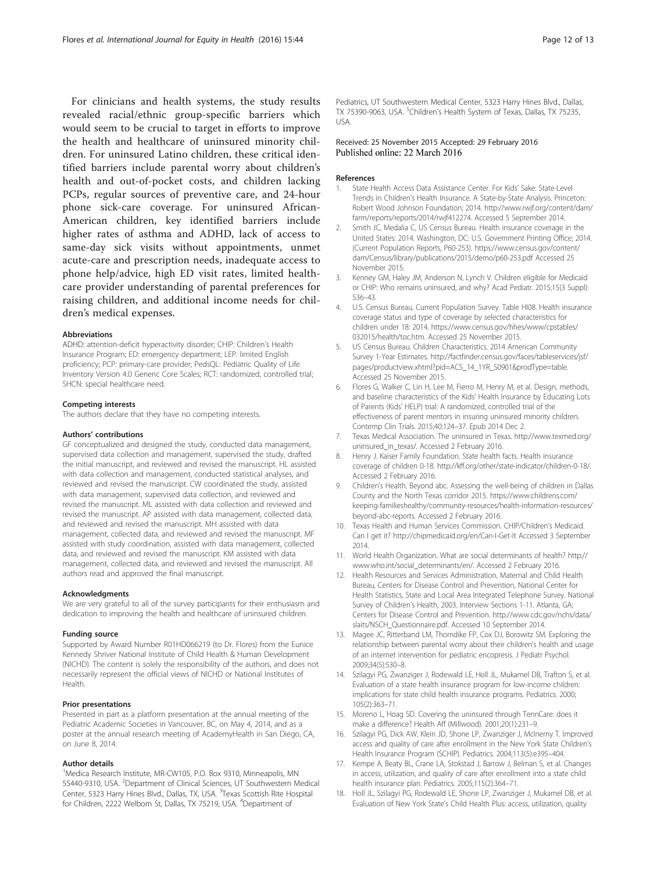<span id="page-11-0"></span>For clinicians and health systems, the study results revealed racial/ethnic group-specific barriers which would seem to be crucial to target in efforts to improve the health and healthcare of uninsured minority children. For uninsured Latino children, these critical identified barriers include parental worry about children's health and out-of-pocket costs, and children lacking PCPs, regular sources of preventive care, and 24-hour phone sick-care coverage. For uninsured African-American children, key identified barriers include higher rates of asthma and ADHD, lack of access to same-day sick visits without appointments, unmet acute-care and prescription needs, inadequate access to phone help/advice, high ED visit rates, limited healthcare provider understanding of parental preferences for raising children, and additional income needs for children's medical expenses.

#### Abbreviations

ADHD: attention-deficit hyperactivity disorder; CHIP: Children's Health Insurance Program; ED: emergency department; LEP: limited English proficiency; PCP: primary-care provider; PedsQL: Pediatric Quality of Life Inventory Version 4.0 Generic Core Scales; RCT: randomized, controlled trial; SHCN: special healthcare need.

#### Competing interests

The authors declare that they have no competing interests.

#### Authors' contributions

GF conceptualized and designed the study, conducted data management, supervised data collection and management, supervised the study, drafted the initial manuscript, and reviewed and revised the manuscript. HL assisted with data collection and management, conducted statistical analyses, and reviewed and revised the manuscript. CW coordinated the study, assisted with data management, supervised data collection, and reviewed and revised the manuscript. ML assisted with data collection and reviewed and revised the manuscript. AP assisted with data management, collected data, and reviewed and revised the manuscript. MH assisted with data management, collected data, and reviewed and revised the manuscript. MF assisted with study coordination, assisted with data management, collected data, and reviewed and revised the manuscript. KM assisted with data management, collected data, and reviewed and revised the manuscript. All authors read and approved the final manuscript.

#### **Acknowledaments**

We are very grateful to all of the survey participants for their enthusiasm and dedication to improving the health and healthcare of uninsured children.

### Funding source

Supported by Award Number R01HD066219 (to Dr. Flores) from the Eunice Kennedy Shriver National Institute of Child Health & Human Development (NICHD). The content is solely the responsibility of the authors, and does not necessarily represent the official views of NICHD or National Institutes of Health.

#### Prior presentations

Presented in part as a platform presentation at the annual meeting of the Pediatric Academic Societies in Vancouver, BC, on May 4, 2014, and as a poster at the annual research meeting of AcademyHealth in San Diego, CA, on June 8, 2014.

### Author details

<sup>1</sup>Medica Research Institute, MR-CW105, P.O. Box 9310, Minneapolis, MN 55440-9310, USA. <sup>2</sup>Department of Clinical Sciences, UT Southwestern Medical Center, 5323 Harry Hines Blvd., Dallas, TX, USA. <sup>3</sup>Texas Scottish Rite Hospital for Children, 2222 Welborn St, Dallas, TX 75219, USA. <sup>4</sup>Department of

Pediatrics, UT Southwestern Medical Center, 5323 Harry Hines Blvd., Dallas, TX 75390-9063, USA. <sup>5</sup>Children's Health System of Texas, Dallas, TX 75235 USA.

#### Received: 25 November 2015 Accepted: 29 February 2016 Published online: 22 March 2016

#### References

- 1. State Health Access Data Assistance Center. For Kids' Sake: State-Level Trends in Children's Health Insurance. A State-by-State Analysis. Princeton: Robert Wood Johnson Foundation; 2014. [http://www.rwjf.org/content/dam/](http://www.rwjf.org/content/dam/farm/reports/reports/2014/rwjf412274) [farm/reports/reports/2014/rwjf412274.](http://www.rwjf.org/content/dam/farm/reports/reports/2014/rwjf412274) Accessed 5 September 2014.
- 2. Smith JC, Medalia C, US Census Bureau. Health insurance coverage in the United States: 2014. Washington, DC: U.S. Government Printing Office; 2014. (Current Population Reports, P60-253). [https://www.census.gov/content/](https://www.census.gov/content/dam/Census/library/publications/2015/demo/p60-253.pdf) [dam/Census/library/publications/2015/demo/p60-253.pdf](https://www.census.gov/content/dam/Census/library/publications/2015/demo/p60-253.pdf) Accessed 25 November 2015.
- 3. Kenney GM, Haley JM, Anderson N, Lynch V. Children eligible for Medicaid or CHIP: Who remains uninsured, and why? Acad Pediatr. 2015;15(3 Suppl): S36–43.
- 4. U.S. Census Bureau, Current Population Survey. Table HI08. Health insurance coverage status and type of coverage by selected characteristics for children under 18: 2014. [https://www.census.gov/hhes/www/cpstables/](https://www.census.gov/hhes/www/cpstables/032015/health/toc.htm) [032015/health/toc.htm.](https://www.census.gov/hhes/www/cpstables/032015/health/toc.htm) Accessed 25 November 2015.
- 5. US Census Bureau. Children Characteristics. 2014 American Community Survey 1-Year Estimates. [http://factfinder.census.gov/faces/tableservices/jsf/](http://factfinder.census.gov/faces/tableservices/jsf/pages/productview.xhtml?pid=ACS_14_1YR_S0901&prodType=table) [pages/productview.xhtml?pid=ACS\\_14\\_1YR\\_S0901&prodType=table](http://factfinder.census.gov/faces/tableservices/jsf/pages/productview.xhtml?pid=ACS_14_1YR_S0901&prodType=table). Accessed 25 November 2015.
- 6. Flores G, Walker C, Lin H, Lee M, Fierro M, Henry M, et al. Design, methods, and baseline characteristics of the Kids' Health Insurance by Educating Lots of Parents (Kids' HELP) trial: A randomized, controlled trial of the effectiveness of parent mentors in insuring uninsured minority children. Contemp Clin Trials. 2015;40:124–37. Epub 2014 Dec 2.
- 7. Texas Medical Association. The uninsured in Texas. [http://www.texmed.org/](http://www.texmed.org/uninsured_in_texas/) [uninsured\\_in\\_texas/](http://www.texmed.org/uninsured_in_texas/). Accessed 2 February 2016.
- 8. Henry J. Kaiser Family Foundation. State health facts. Health insurance coverage of children 0-18. [http://kff.org/other/state-indicator/children-0-18/.](http://kff.org/other/state-indicator/children-0-18/) Accessed 2 February 2016.
- 9. Children's Health. Beyond abc. Assessing the well-being of children in Dallas County and the North Texas corridor 2015. [https://www.childrens.com/](https://www.childrens.com/keeping-familieshealthy/community-resources/health-information-resources/beyond-abc-reports) [keeping-familieshealthy/community-resources/health-information-resources/](https://www.childrens.com/keeping-familieshealthy/community-resources/health-information-resources/beyond-abc-reports) [beyond-abc-reports.](https://www.childrens.com/keeping-familieshealthy/community-resources/health-information-resources/beyond-abc-reports) Accessed 2 February 2016.
- 10. Texas Health and Human Services Commission. CHIP/Children's Medicaid. Can I get it?<http://chipmedicaid.org/en/Can-I-Get-It> Accessed 3 September 2014.
- 11. World Health Organization. What are social determinants of health? [http://](http://www.who.int/social_determinants/en/Accessed) [www.who.int/social\\_determinants/en/.](http://www.who.int/social_determinants/en/Accessed) Accessed 2 February 2016.
- 12. Health Resources and Services Administration, Maternal and Child Health Bureau, Centers for Disease Control and Prevention, National Center for Health Statistics, State and Local Area Integrated Telephone Survey. National Survey of Children's Health, 2003. Interview Sections 1-11. Atlanta, GA; Centers for Disease Control and Prevention. [http://www.cdc.gov/nchs/data/](http://www.cdc.gov/nchs/data/slaits/NSCH_Questionnaire.pdf) [slaits/NSCH\\_Questionnaire.pdf.](http://www.cdc.gov/nchs/data/slaits/NSCH_Questionnaire.pdf) Accessed 10 September 2014.
- 13. Magee JC, Ritterband LM, Thorndike FP, Cox DJ, Borowitz SM. Exploring the relationship between parental worry about their children's health and usage of an internet intervention for pediatric encopresis. J Pediatr Psychol. 2009;34(5):530–8.
- 14. Szilagyi PG, Zwanziger J, Rodewald LE, Holl JL, Mukamel DB, Trafton S, et al. Evaluation of a state health insurance program for low-income children: implications for state child health insurance programs. Pediatrics. 2000; 105(2):363–71.
- 15. Moreno L, Hoag SD. Covering the uninsured through TennCare: does it make a difference? Health Aff (Millwood). 2001;20(1):231–9.
- 16. Szilagyi PG, Dick AW, Klein JD, Shone LP, Zwanziger J, McInerny T. Improved access and quality of care after enrollment in the New York State Children's Health Insurance Program (SCHIP). Pediatrics. 2004;113(5):e395–404.
- 17. Kempe A, Beaty BL, Crane LA, Stokstad J, Barrow J, Belman S, et al. Changes in access, utilization, and quality of care after enrollment into a state child health insurance plan. Pediatrics. 2005;115(2):364–71.
- 18. Holl JL, Szilagyi PG, Rodewald LE, Shone LP, Zwanziger J, Mukamel DB, et al. Evaluation of New York State's Child Health Plus: access, utilization, quality